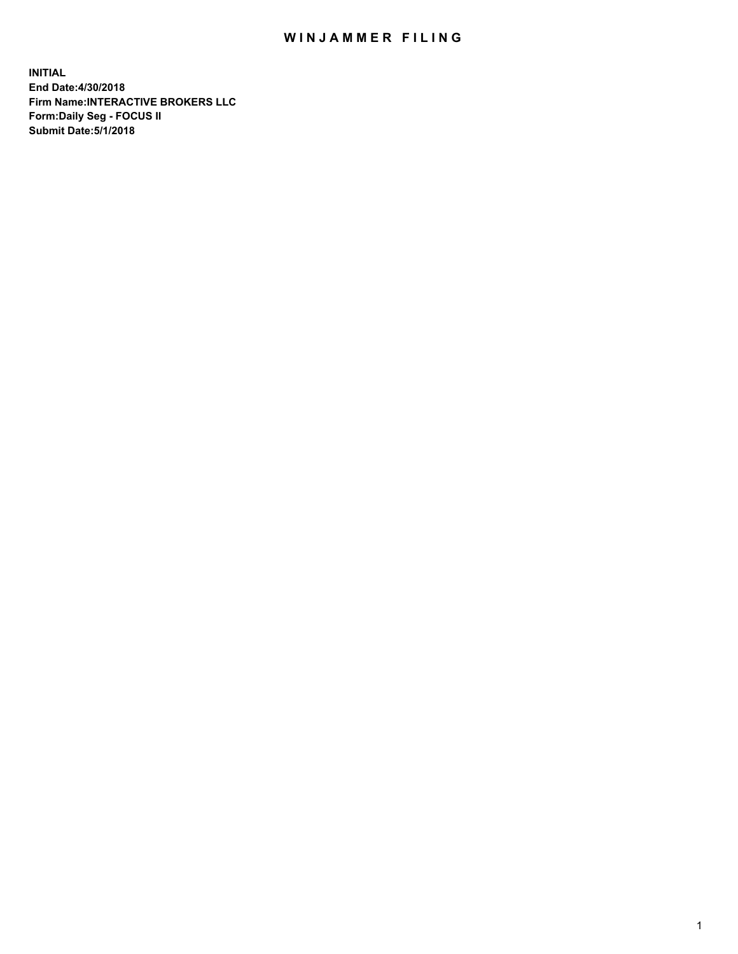## WIN JAMMER FILING

**INITIAL End Date:4/30/2018 Firm Name:INTERACTIVE BROKERS LLC Form:Daily Seg - FOCUS II Submit Date:5/1/2018**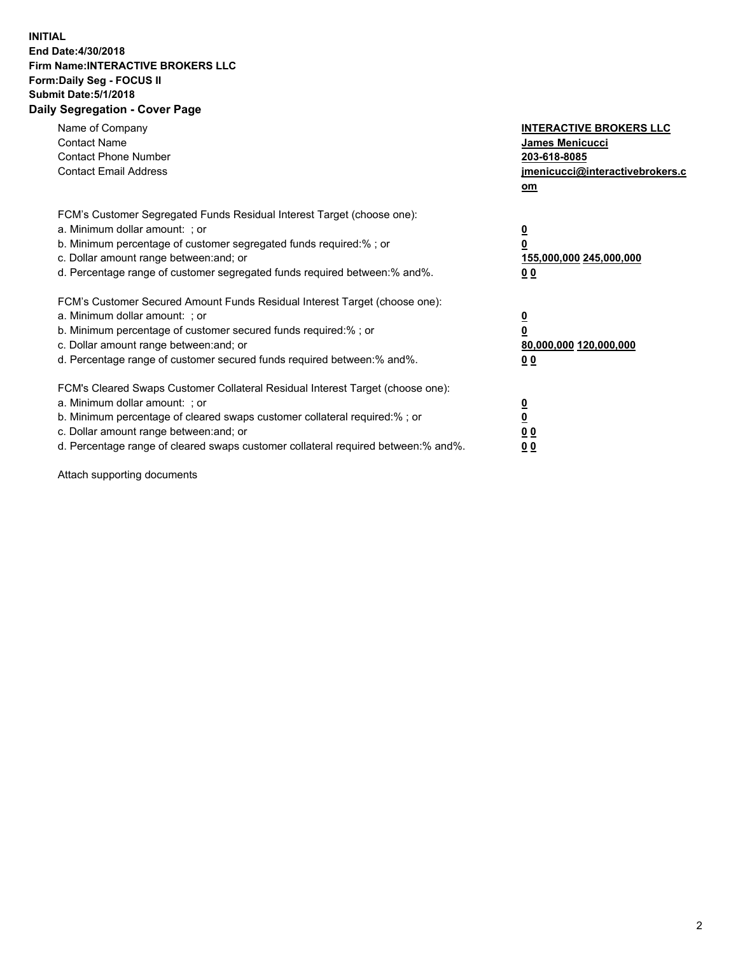## **INITIAL End Date:4/30/2018 Firm Name:INTERACTIVE BROKERS LLC Form:Daily Seg - FOCUS II Submit Date:5/1/2018 Daily Segregation - Cover Page**

| Name of Company<br><b>Contact Name</b><br><b>Contact Phone Number</b><br><b>Contact Email Address</b>                                                                                                                                                                                                                          | <b>INTERACTIVE BROKERS LLC</b><br>James Menicucci<br>203-618-8085<br>jmenicucci@interactivebrokers.c<br>om |
|--------------------------------------------------------------------------------------------------------------------------------------------------------------------------------------------------------------------------------------------------------------------------------------------------------------------------------|------------------------------------------------------------------------------------------------------------|
| FCM's Customer Segregated Funds Residual Interest Target (choose one):<br>a. Minimum dollar amount: ; or<br>b. Minimum percentage of customer segregated funds required:% ; or<br>c. Dollar amount range between: and; or<br>d. Percentage range of customer segregated funds required between:% and%.                         | $\overline{\mathbf{0}}$<br>0<br>155,000,000 245,000,000<br>0 <sub>0</sub>                                  |
| FCM's Customer Secured Amount Funds Residual Interest Target (choose one):<br>a. Minimum dollar amount: ; or<br>b. Minimum percentage of customer secured funds required:%; or<br>c. Dollar amount range between: and; or<br>d. Percentage range of customer secured funds required between: % and %.                          | $\overline{\mathbf{0}}$<br>0<br>80,000,000 120,000,000<br>0 <sub>0</sub>                                   |
| FCM's Cleared Swaps Customer Collateral Residual Interest Target (choose one):<br>a. Minimum dollar amount: ; or<br>b. Minimum percentage of cleared swaps customer collateral required:% ; or<br>c. Dollar amount range between: and; or<br>d. Percentage range of cleared swaps customer collateral required between:% and%. | $\overline{\mathbf{0}}$<br>$\overline{\mathbf{0}}$<br>0 <sub>0</sub><br>0 <sub>0</sub>                     |

Attach supporting documents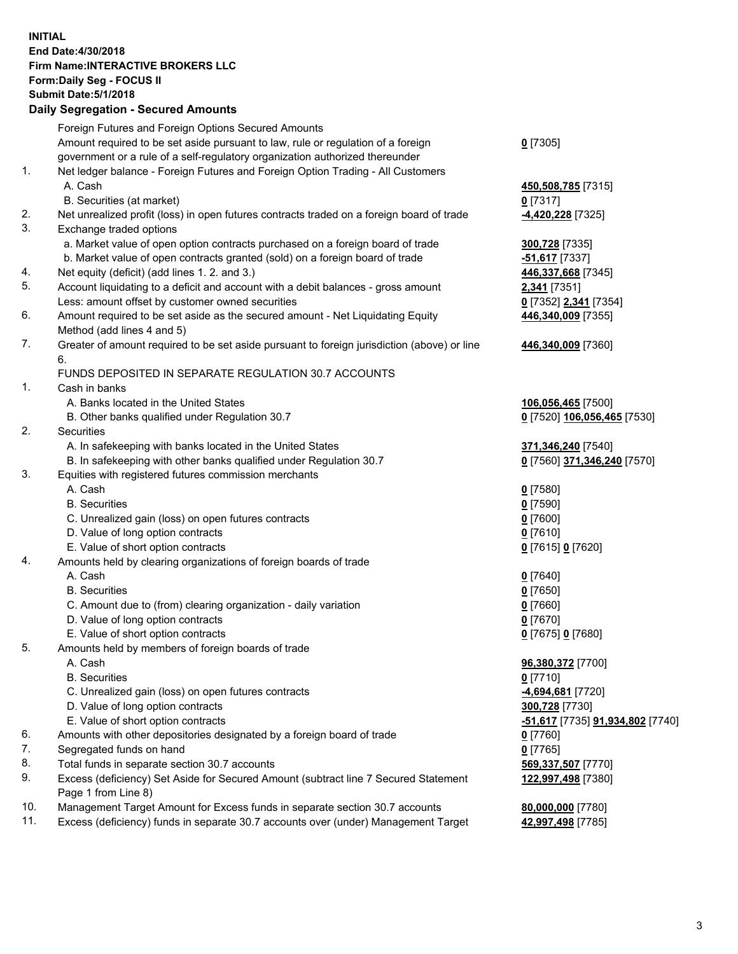## **INITIAL End Date:4/30/2018 Firm Name:INTERACTIVE BROKERS LLC Form:Daily Seg - FOCUS II Submit Date:5/1/2018 Daily Segregation - Secured Amounts**

|                | Dany Ocgregation - Occurea Aniounts                                                         |                                  |
|----------------|---------------------------------------------------------------------------------------------|----------------------------------|
|                | Foreign Futures and Foreign Options Secured Amounts                                         |                                  |
|                | Amount required to be set aside pursuant to law, rule or regulation of a foreign            | $0$ [7305]                       |
|                | government or a rule of a self-regulatory organization authorized thereunder                |                                  |
| 1.             | Net ledger balance - Foreign Futures and Foreign Option Trading - All Customers             |                                  |
|                | A. Cash                                                                                     | 450,508,785 [7315]               |
|                | B. Securities (at market)                                                                   | $0$ [7317]                       |
| 2.             | Net unrealized profit (loss) in open futures contracts traded on a foreign board of trade   | -4,420,228 [7325]                |
| 3.             | Exchange traded options                                                                     |                                  |
|                | a. Market value of open option contracts purchased on a foreign board of trade              | 300,728 [7335]                   |
|                | b. Market value of open contracts granted (sold) on a foreign board of trade                | $-51,617$ [7337]                 |
| 4.             | Net equity (deficit) (add lines 1.2. and 3.)                                                | 446,337,668 [7345]               |
| 5.             | Account liquidating to a deficit and account with a debit balances - gross amount           | <b>2,341</b> [7351]              |
|                | Less: amount offset by customer owned securities                                            | 0 [7352] 2,341 [7354]            |
| 6.             | Amount required to be set aside as the secured amount - Net Liquidating Equity              | 446,340,009 [7355]               |
|                | Method (add lines 4 and 5)                                                                  |                                  |
| 7.             | Greater of amount required to be set aside pursuant to foreign jurisdiction (above) or line | 446,340,009 [7360]               |
|                | 6.                                                                                          |                                  |
|                | FUNDS DEPOSITED IN SEPARATE REGULATION 30.7 ACCOUNTS                                        |                                  |
| $\mathbf{1}$ . | Cash in banks                                                                               |                                  |
|                | A. Banks located in the United States                                                       | 106,056,465 [7500]               |
|                | B. Other banks qualified under Regulation 30.7                                              | 0 [7520] 106,056,465 [7530]      |
| 2.             | Securities                                                                                  |                                  |
|                | A. In safekeeping with banks located in the United States                                   | 371,346,240 [7540]               |
|                | B. In safekeeping with other banks qualified under Regulation 30.7                          | 0 [7560] 371,346,240 [7570]      |
| 3.             | Equities with registered futures commission merchants                                       |                                  |
|                | A. Cash                                                                                     | $0$ [7580]                       |
|                | <b>B.</b> Securities                                                                        | $0$ [7590]                       |
|                | C. Unrealized gain (loss) on open futures contracts                                         | $0$ [7600]                       |
|                | D. Value of long option contracts                                                           | $0$ [7610]                       |
|                | E. Value of short option contracts                                                          | 0 [7615] 0 [7620]                |
| 4.             | Amounts held by clearing organizations of foreign boards of trade                           |                                  |
|                | A. Cash                                                                                     | $0$ [7640]                       |
|                | <b>B.</b> Securities                                                                        | $0$ [7650]                       |
|                | C. Amount due to (from) clearing organization - daily variation                             | $0$ [7660]                       |
|                | D. Value of long option contracts                                                           | $0$ [7670]                       |
| 5.             | E. Value of short option contracts                                                          | 0 [7675] 0 [7680]                |
|                | Amounts held by members of foreign boards of trade<br>A. Cash                               |                                  |
|                | <b>B.</b> Securities                                                                        | 96,380,372 [7700]<br>$0$ [7710]  |
|                |                                                                                             | -4,694,681 [7720]                |
|                | C. Unrealized gain (loss) on open futures contracts<br>D. Value of long option contracts    | 300,728 [7730]                   |
|                | E. Value of short option contracts                                                          | -51,617 [7735] 91,934,802 [7740] |
| 6.             | Amounts with other depositories designated by a foreign board of trade                      | $0$ [7760]                       |
| 7.             | Segregated funds on hand                                                                    | $0$ [7765]                       |
| 8.             | Total funds in separate section 30.7 accounts                                               | 569,337,507 [7770]               |
| 9.             | Excess (deficiency) Set Aside for Secured Amount (subtract line 7 Secured Statement         | 122,997,498 [7380]               |
|                | Page 1 from Line 8)                                                                         |                                  |
| 10.            | Management Target Amount for Excess funds in separate section 30.7 accounts                 | 80,000,000 [7780]                |
| 11.            | Excess (deficiency) funds in separate 30.7 accounts over (under) Management Target          | 42,997,498 [7785]                |
|                |                                                                                             |                                  |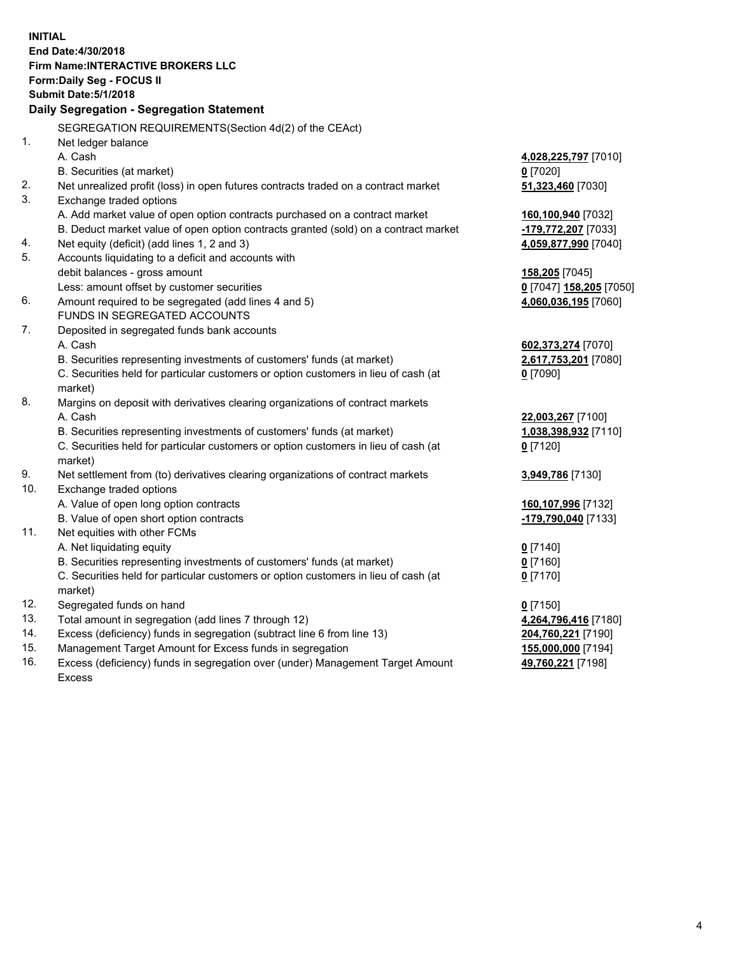**INITIAL End Date:4/30/2018 Firm Name:INTERACTIVE BROKERS LLC Form:Daily Seg - FOCUS II Submit Date:5/1/2018 Daily Segregation - Segregation Statement** SEGREGATION REQUIREMENTS(Section 4d(2) of the CEAct) 1. Net ledger balance A. Cash **4,028,225,797** [7010] B. Securities (at market) **0** [7020] 2. Net unrealized profit (loss) in open futures contracts traded on a contract market **51,323,460** [7030] 3. Exchange traded options A. Add market value of open option contracts purchased on a contract market **160,100,940** [7032] B. Deduct market value of open option contracts granted (sold) on a contract market **-179,772,207** [7033] 4. Net equity (deficit) (add lines 1, 2 and 3) **4,059,877,990** [7040] 5. Accounts liquidating to a deficit and accounts with debit balances - gross amount **158,205** [7045] Less: amount offset by customer securities **0** [7047] **158,205** [7050] 6. Amount required to be segregated (add lines 4 and 5) **4,060,036,195** [7060] FUNDS IN SEGREGATED ACCOUNTS 7. Deposited in segregated funds bank accounts A. Cash **602,373,274** [7070] B. Securities representing investments of customers' funds (at market) **2,617,753,201** [7080] C. Securities held for particular customers or option customers in lieu of cash (at market) **0** [7090] 8. Margins on deposit with derivatives clearing organizations of contract markets A. Cash **22,003,267** [7100] B. Securities representing investments of customers' funds (at market) **1,038,398,932** [7110] C. Securities held for particular customers or option customers in lieu of cash (at market) **0** [7120] 9. Net settlement from (to) derivatives clearing organizations of contract markets **3,949,786** [7130] 10. Exchange traded options A. Value of open long option contracts **160,107,996** [7132] B. Value of open short option contracts **-179,790,040** [7133] 11. Net equities with other FCMs A. Net liquidating equity **0** [7140] B. Securities representing investments of customers' funds (at market) **0** [7160] C. Securities held for particular customers or option customers in lieu of cash (at market) **0** [7170] 12. Segregated funds on hand **0** [7150] 13. Total amount in segregation (add lines 7 through 12) **4,264,796,416** [7180] 14. Excess (deficiency) funds in segregation (subtract line 6 from line 13) **204,760,221** [7190] 15. Management Target Amount for Excess funds in segregation **155,000,000** [7194] **49,760,221** [7198]

16. Excess (deficiency) funds in segregation over (under) Management Target Amount Excess